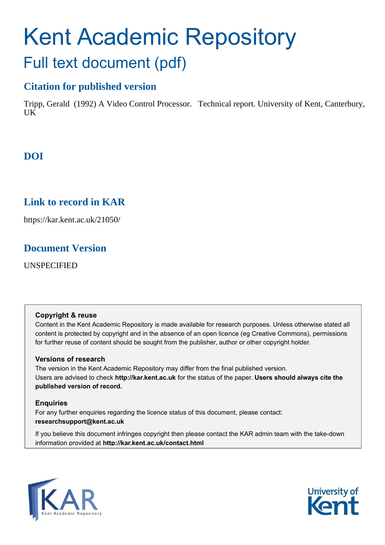# Kent Academic Repository Full text document (pdf)

# **Citation for published version**

Tripp, Gerald (1992) A Video Control Processor. Technical report. University of Kent, Canterbury,  $I K$ 

# **DOI**

# **Link to record in KAR**

https://kar.kent.ac.uk/21050/

## **Document Version**

UNSPECIFIED

### **Copyright & reuse**

Content in the Kent Academic Repository is made available for research purposes. Unless otherwise stated all content is protected by copyright and in the absence of an open licence (eg Creative Commons), permissions for further reuse of content should be sought from the publisher, author or other copyright holder.

### **Versions of research**

The version in the Kent Academic Repository may differ from the final published version. Users are advised to check **http://kar.kent.ac.uk** for the status of the paper. **Users should always cite the published version of record.**

### **Enquiries**

For any further enquiries regarding the licence status of this document, please contact: **researchsupport@kent.ac.uk**

If you believe this document infringes copyright then please contact the KAR admin team with the take-down information provided at **http://kar.kent.ac.uk/contact.html**



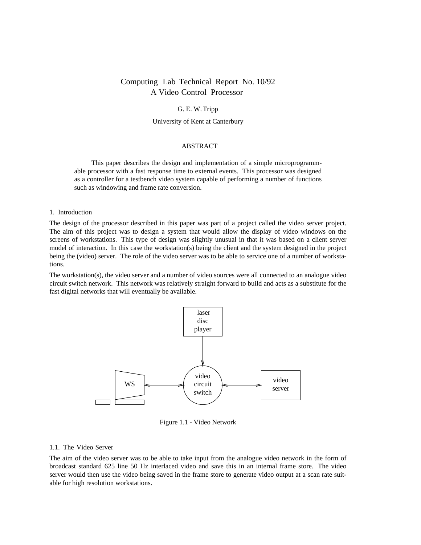### Computing Lab Technical Report No. 10/92 A Video Control Processor

#### G. E. W. Tripp

#### University of Kent at Canterbury

#### ABSTRACT

This paper describes the design and implementation of a simple microprogrammable processor with a fast response time to external events. This processor was designed as a controller for a testbench video system capable of performing a number of functions such as windowing and frame rate conversion.

#### 1. Introduction

The design of the processor described in this paper was part of a project called the video server project. The aim of this project was to design a system that would allow the display of video windows on the screens of workstations. This type of design was slightly unusual in that it was based on a client server model of interaction. In this case the workstation(s) being the client and the system designed in the project being the (video) server. The role of the video server was to be able to service one of a number of workstations.

The workstation(s), the video server and a number of video sources were all connected to an analogue video circuit switch network. This network was relatively straight forward to build and acts as a substitute for the fast digital networks that will eventually be available.



Figure 1.1 - Video Network

#### 1.1. The Video Server

The aim of the video server was to be able to take input from the analogue video network in the form of broadcast standard 625 line 50 Hz interlaced video and save this in an internal frame store. The video server would then use the video being saved in the frame store to generate video output at a scan rate suitable for high resolution workstations.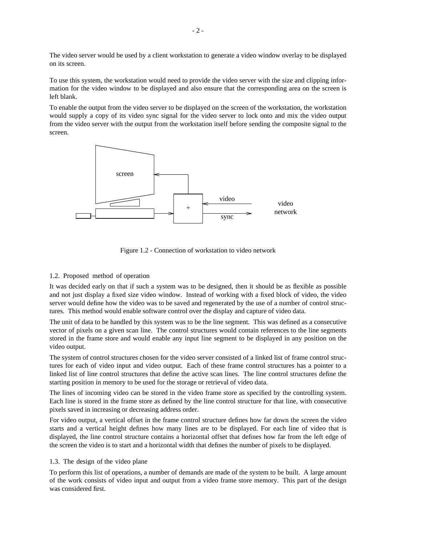The video server would be used by a client workstation to generate a video window overlay to be displayed on its screen.

To use this system, the workstation would need to provide the video server with the size and clipping information for the video window to be displayed and also ensure that the corresponding area on the screen is left blank.

To enable the output from the video server to be displayed on the screen of the workstation, the workstation would supply a copy of its video sync signal for the video server to lock onto and mix the video output from the video server with the output from the workstation itself before sending the composite signal to the screen.



Figure 1.2 - Connection of workstation to video network

#### 1.2. Proposed method of operation

It was decided early on that if such a system was to be designed, then it should be as flexible as possible and not just display a fixed size video window. Instead of working with a fixed block of video, the video server would define how the video was to be saved and regenerated by the use of a number of control structures. This method would enable software control over the display and capture of video data.

The unit of data to be handled by this system was to be the line segment. This was defined as a consecutive vector of pixels on a given scan line. The control structures would contain references to the line segments stored in the frame store and would enable any input line segment to be displayed in any position on the video output.

The system of control structures chosen for the video server consisted of a linked list of frame control structures for each of video input and video output. Each of these frame control structures has a pointer to a linked list of line control structures that define the active scan lines. The line control structures define the starting position in memory to be used for the storage or retrieval of video data.

The lines of incoming video can be stored in the video frame store as specified by the controlling system. Each line is stored in the frame store as defined by the line control structure for that line, with consecutive pixels saved in increasing or decreasing address order.

For video output, a vertical offset in the frame control structure defines how far down the screen the video starts and a vertical height defines how many lines are to be displayed. For each line of video that is displayed, the line control structure contains a horizontal offset that defines how far from the left edge of the screen the video is to start and a horizontal width that defines the number of pixels to be displayed.

#### 1.3. The design of the video plane

To perform this list of operations, a number of demands are made of the system to be built. A large amount of the work consists of video input and output from a video frame store memory. This part of the design was considered first.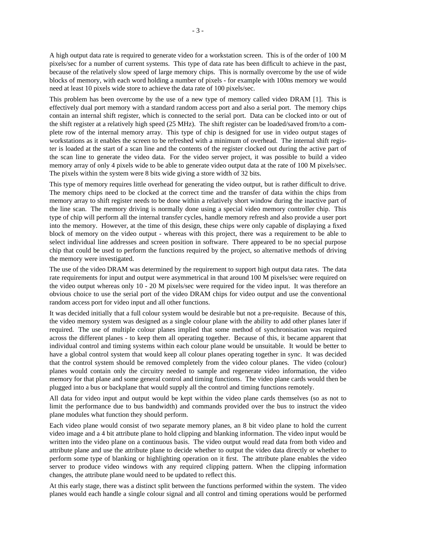A high output data rate is required to generate video for a workstation screen. This is of the order of 100 M pixels/sec for a number of current systems. This type of data rate has been difficult to achieve in the past, because of the relatively slow speed of large memory chips. This is normally overcome by the use of wide blocks of memory, with each word holding a number of pixels - for example with 100ns memory we would need at least 10 pixels wide store to achieve the data rate of 100 pixels/sec.

This problem has been overcome by the use of a new type of memory called video DRAM [1]. This is effectively dual port memory with a standard random access port and also a serial port. The memory chips contain an internal shift register, which is connected to the serial port. Data can be clocked into or out of the shift register at a relatively high speed (25 MHz). The shift register can be loaded/saved from/to a complete row of the internal memory array. This type of chip is designed for use in video output stages of workstations as it enables the screen to be refreshed with a minimum of overhead. The internal shift register is loaded at the start of a scan line and the contents of the register clocked out during the active part of the scan line to generate the video data. For the video server project, it was possible to build a video memory array of only 4 pixels wide to be able to generate video output data at the rate of 100 M pixels/sec. The pixels within the system were 8 bits wide giving a store width of 32 bits.

This type of memory requires little overhead for generating the video output, but is rather difficult to drive. The memory chips need to be clocked at the correct time and the transfer of data within the chips from memory array to shift register needs to be done within a relatively short window during the inactive part of the line scan. The memory driving is normally done using a special video memory controller chip. This type of chip will perform all the internal transfer cycles, handle memory refresh and also provide a user port into the memory. However, at the time of this design, these chips were only capable of displaying a fixed block of memory on the video output - whereas with this project, there was a requirement to be able to select individual line addresses and screen position in software. There appeared to be no special purpose chip that could be used to perform the functions required by the project, so alternative methods of driving the memory were investigated.

The use of the video DRAM was determined by the requirement to support high output data rates. The data rate requirements for input and output were asymmetrical in that around 100 M pixels/sec were required on the video output whereas only 10 - 20 M pixels/sec were required for the video input. It was therefore an obvious choice to use the serial port of the video DRAM chips for video output and use the conventional random access port for video input and all other functions.

It was decided initially that a full colour system would be desirable but not a pre-requisite. Because of this, the video memory system was designed as a single colour plane with the ability to add other planes later if required. The use of multiple colour planes implied that some method of synchronisation was required across the different planes - to keep them all operating together. Because of this, it became apparent that individual control and timing systems within each colour plane would be unsuitable. It would be better to have a global control system that would keep all colour planes operating together in sync. It was decided that the control system should be removed completely from the video colour planes. The video (colour) planes would contain only the circuitry needed to sample and regenerate video information, the video memory for that plane and some general control and timing functions. The video plane cards would then be plugged into a bus or backplane that would supply all the control and timing functions remotely.

All data for video input and output would be kept within the video plane cards themselves (so as not to limit the performance due to bus bandwidth) and commands provided over the bus to instruct the video plane modules what function they should perform.

Each video plane would consist of two separate memory planes, an 8 bit video plane to hold the current video image and a 4 bit attribute plane to hold clipping and blanking information. The video input would be written into the video plane on a continuous basis. The video output would read data from both video and attribute plane and use the attribute plane to decide whether to output the video data directly or whether to perform some type of blanking or highlighting operation on it first. The attribute plane enables the video server to produce video windows with any required clipping pattern. When the clipping information changes, the attribute plane would need to be updated to reflect this.

At this early stage, there was a distinct split between the functions performed within the system. The video planes would each handle a single colour signal and all control and timing operations would be performed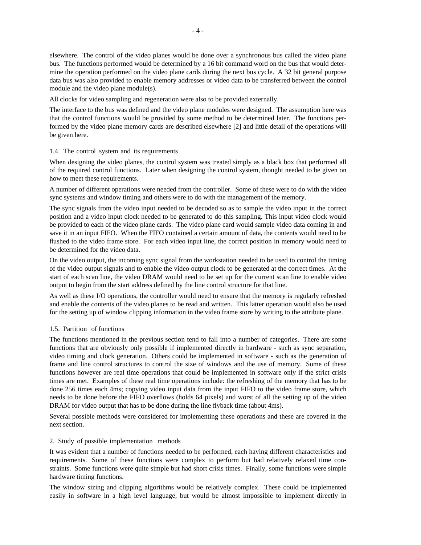elsewhere. The control of the video planes would be done over a synchronous bus called the video plane bus. The functions performed would be determined by a 16 bit command word on the bus that would determine the operation performed on the video plane cards during the next bus cycle. A 32 bit general purpose data bus was also provided to enable memory addresses or video data to be transferred between the control module and the video plane module(s).

All clocks for video sampling and regeneration were also to be provided externally.

The interface to the bus was defined and the video plane modules were designed. The assumption here was that the control functions would be provided by some method to be determined later. The functions performed by the video plane memory cards are described elsewhere [2] and little detail of the operations will be given here.

#### 1.4. The control system and its requirements

When designing the video planes, the control system was treated simply as a black box that performed all of the required control functions. Later when designing the control system, thought needed to be given on how to meet these requirements.

A number of different operations were needed from the controller. Some of these were to do with the video sync systems and window timing and others were to do with the management of the memory.

The sync signals from the video input needed to be decoded so as to sample the video input in the correct position and a video input clock needed to be generated to do this sampling. This input video clock would be provided to each of the video plane cards. The video plane card would sample video data coming in and save it in an input FIFO. When the FIFO contained a certain amount of data, the contents would need to be flushed to the video frame store. For each video input line, the correct position in memory would need to be determined for the video data.

On the video output, the incoming sync signal from the workstation needed to be used to control the timing of the video output signals and to enable the video output clock to be generated at the correct times. At the start of each scan line, the video DRAM would need to be set up for the current scan line to enable video output to begin from the start address defined by the line control structure for that line.

As well as these I/O operations, the controller would need to ensure that the memory is regularly refreshed and enable the contents of the video planes to be read and written. This latter operation would also be used for the setting up of window clipping information in the video frame store by writing to the attribute plane.

#### 1.5. Partition of functions

The functions mentioned in the previous section tend to fall into a number of categories. There are some functions that are obviously only possible if implemented directly in hardware - such as sync separation, video timing and clock generation. Others could be implemented in software - such as the generation of frame and line control structures to control the size of windows and the use of memory. Some of these functions however are real time operations that could be implemented in software only if the strict crisis times are met. Examples of these real time operations include: the refreshing of the memory that has to be done 256 times each 4ms; copying video input data from the input FIFO to the video frame store, which needs to be done before the FIFO overflows (holds 64 pixels) and worst of all the setting up of the video DRAM for video output that has to be done during the line flyback time (about 4ms).

Several possible methods were considered for implementing these operations and these are covered in the next section.

#### 2. Study of possible implementation methods

It was evident that a number of functions needed to be performed, each having different characteristics and requirements. Some of these functions were complex to perform but had relatively relaxed time constraints. Some functions were quite simple but had short crisis times. Finally, some functions were simple hardware timing functions.

The window sizing and clipping algorithms would be relatively complex. These could be implemented easily in software in a high level language, but would be almost impossible to implement directly in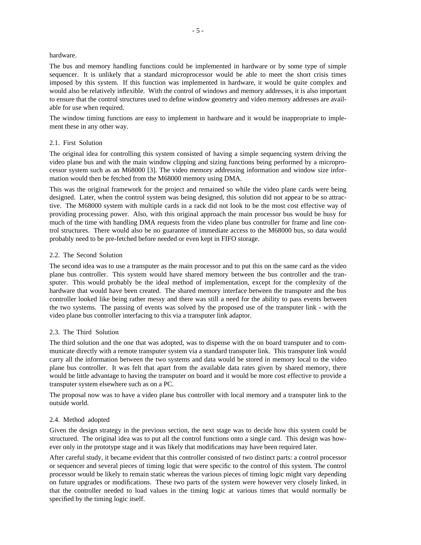#### hardware.

The bus and memory handling functions could be implemented in hardware or by some type of simple sequencer. It is unlikely that a standard microprocessor would be able to meet the short crisis times imposed by this system. If this function was implemented in hardware, it would be quite complex and would also be relatively inflexible. With the control of windows and memory addresses, it is also important to ensure that the control structures used to define window geometry and video memory addresses are available for use when required.

The window timing functions are easy to implement in hardware and it would be inappropriate to implement these in any other way.

#### 2.1. First Solution

The original idea for controlling this system consisted of having a simple sequencing system driving the video plane bus and with the main window clipping and sizing functions being performed by a microprocessor system such as an M68000 [3]. The video memory addressing information and window size information would then be fetched from the M68000 memory using DMA.

This was the original framework for the project and remained so while the video plane cards were being designed. Later, when the control system was being designed, this solution did not appear to be so attractive. The M68000 system with multiple cards in a rack did not look to be the most cost effective way of providing processing power. Also, with this original approach the main processor bus would be busy for much of the time with handling DMA requests from the video plane bus controller for frame and line control structures. There would also be no guarantee of immediate access to the M68000 bus, so data would probably need to be pre-fetched before needed or even kept in FIFO storage.

#### 2.2. The Second Solution

The second idea was to use a transputer as the main processor and to put this on the same card as the video plane bus controller. This system would have shared memory between the bus controller and the transputer. This would probably be the ideal method of implementation, except for the complexity of the hardware that would have been created. The shared memory interface between the transputer and the bus controller looked like being rather messy and there was still a need for the ability to pass events between the two systems. The passing of events was solved by the proposed use of the transputer link - with the video plane bus controller interfacing to this via a transputer link adaptor.

#### 2.3. The Third Solution

The third solution and the one that was adopted, was to dispense with the on board transputer and to communicate directly with a remote transputer system via a standard transputer link. This transputer link would carry all the information between the two systems and data would be stored in memory local to the video plane bus controller. It was felt that apart from the available data rates given by shared memory, there would be little advantage to having the transputer on board and it would be more cost effective to provide a transputer system elsewhere such as on a PC.

The proposal now was to have a video plane bus controller with local memory and a transputer link to the outside world.

#### 2.4. Method adopted

Given the design strategy in the previous section, the next stage was to decide how this system could be structured. The original idea was to put all the control functions onto a single card. This design was however only in the prototype stage and it was likely that modifications may have been required later.

After careful study, it became evident that this controller consisted of two distinct parts: a control processor or sequencer and several pieces of timing logic that were specific to the control of this system. The control processor would be likely to remain static whereas the various pieces of timing logic might vary depending on future upgrades or modifications. These two parts of the system were however very closely linked, in that the controller needed to load values in the timing logic at various times that would normally be specified by the timing logic itself.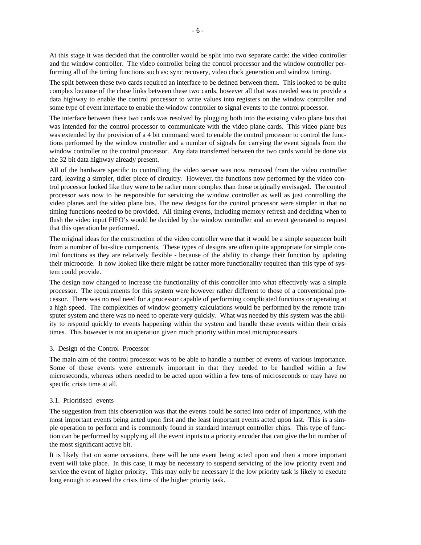At this stage it was decided that the controller would be split into two separate cards: the video controller and the window controller. The video controller being the control processor and the window controller performing all of the timing functions such as: sync recovery, video clock generation and window timing.

The split between these two cards required an interface to be defined between them. This looked to be quite complex because of the close links between these two cards, however all that was needed was to provide a data highway to enable the control processor to write values into registers on the window controller and some type of event interface to enable the window controller to signal events to the control processor.

The interface between these two cards was resolved by plugging both into the existing video plane bus that was intended for the control processor to communicate with the video plane cards. This video plane bus was extended by the provision of a 4 bit command word to enable the control processor to control the functions performed by the window controller and a number of signals for carrying the event signals from the window controller to the control processor. Any data transferred between the two cards would be done via the 32 bit data highway already present.

All of the hardware specific to controlling the video server was now removed from the video controller card, leaving a simpler, tidier piece of circuitry. However, the functions now performed by the video control processor looked like they were to be rather more complex than those originally envisaged. The control processor was now to be responsible for servicing the window controller as well as just controlling the video planes and the video plane bus. The new designs for the control processor were simpler in that no timing functions needed to be provided. All timing events, including memory refresh and deciding when to flush the video input FIFO's would be decided by the window controller and an event generated to request that this operation be performed.

The original ideas for the construction of the video controller were that it would be a simple sequencer built from a number of bit-slice components. These types of designs are often quite appropriate for simple control functions as they are relatively flexible - because of the ability to change their function by updating their microcode. It now looked like there might be rather more functionality required than this type of system could provide.

The design now changed to increase the functionality of this controller into what effectively was a simple processor. The requirements for this system were however rather different to those of a conventional processor. There was no real need for a processor capable of performing complicated functions or operating at a high speed. The complexities of window geometry calculations would be performed by the remote transputer system and there was no need to operate very quickly. What was needed by this system was the ability to respond quickly to events happening within the system and handle these events within their crisis times. This however is not an operation given much priority within most microprocessors.

#### 3. Design of the Control Processor

The main aim of the control processor was to be able to handle a number of events of various importance. Some of these events were extremely important in that they needed to be handled within a few microseconds, whereas others needed to be acted upon within a few tens of microseconds or may have no specific crisis time at all.

#### 3.1. Prioritised events

The suggestion from this observation was that the events could be sorted into order of importance, with the most important events being acted upon first and the least important events acted upon last. This is a simple operation to perform and is commonly found in standard interrupt controller chips. This type of function can be performed by supplying all the event inputs to a priority encoder that can give the bit number of the most significant active bit.

It is likely that on some occasions, there will be one event being acted upon and then a more important event will take place. In this case, it may be necessary to suspend servicing of the low priority event and service the event of higher priority. This may only be necessary if the low priority task is likely to execute long enough to exceed the crisis time of the higher priority task.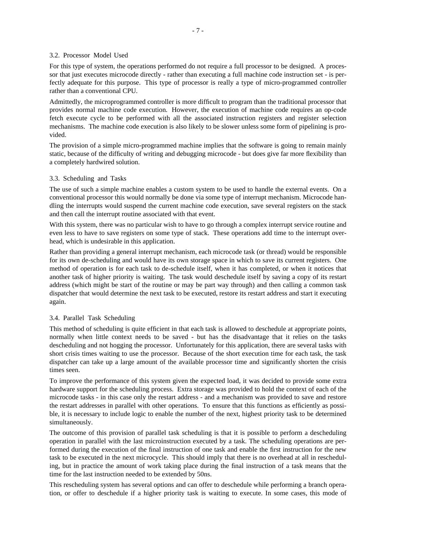#### 3.2. Processor Model Used

For this type of system, the operations performed do not require a full processor to be designed. A processor that just executes microcode directly - rather than executing a full machine code instruction set - is perfectly adequate for this purpose. This type of processor is really a type of micro-programmed controller rather than a conventional CPU.

Admittedly, the microprogrammed controller is more difficult to program than the traditional processor that provides normal machine code execution. However, the execution of machine code requires an op-code fetch execute cycle to be performed with all the associated instruction registers and register selection mechanisms. The machine code execution is also likely to be slower unless some form of pipelining is provided.

The provision of a simple micro-programmed machine implies that the software is going to remain mainly static, because of the difficulty of writing and debugging microcode - but does give far more flexibility than a completely hardwired solution.

#### 3.3. Scheduling and Tasks

The use of such a simple machine enables a custom system to be used to handle the external events. On a conventional processor this would normally be done via some type of interrupt mechanism. Microcode handling the interrupts would suspend the current machine code execution, save several registers on the stack and then call the interrupt routine associated with that event.

With this system, there was no particular wish to have to go through a complex interrupt service routine and even less to have to save registers on some type of stack. These operations add time to the interrupt overhead, which is undesirable in this application.

Rather than providing a general interrupt mechanism, each microcode task (or thread) would be responsible for its own de-scheduling and would have its own storage space in which to save its current registers. One method of operation is for each task to de-schedule itself, when it has completed, or when it notices that another task of higher priority is waiting. The task would deschedule itself by saving a copy of its restart address (which might be start of the routine or may be part way through) and then calling a common task dispatcher that would determine the next task to be executed, restore its restart address and start it executing again.

#### 3.4. Parallel Task Scheduling

This method of scheduling is quite efficient in that each task is allowed to deschedule at appropriate points, normally when little context needs to be saved - but has the disadvantage that it relies on the tasks descheduling and not hogging the processor. Unfortunately for this application, there are several tasks with short crisis times waiting to use the processor. Because of the short execution time for each task, the task dispatcher can take up a large amount of the available processor time and significantly shorten the crisis times seen.

To improve the performance of this system given the expected load, it was decided to provide some extra hardware support for the scheduling process. Extra storage was provided to hold the context of each of the microcode tasks - in this case only the restart address - and a mechanism was provided to save and restore the restart addresses in parallel with other operations. To ensure that this functions as efficiently as possible, it is necessary to include logic to enable the number of the next, highest priority task to be determined simultaneously.

The outcome of this provision of parallel task scheduling is that it is possible to perform a descheduling operation in parallel with the last microinstruction executed by a task. The scheduling operations are performed during the execution of the final instruction of one task and enable the first instruction for the new task to be executed in the next microcycle. This should imply that there is no overhead at all in rescheduling, but in practice the amount of work taking place during the final instruction of a task means that the time for the last instruction needed to be extended by 50ns.

This rescheduling system has several options and can offer to deschedule while performing a branch operation, or offer to deschedule if a higher priority task is waiting to execute. In some cases, this mode of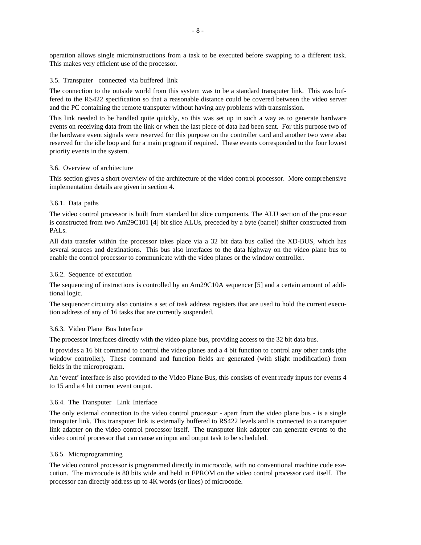operation allows single microinstructions from a task to be executed before swapping to a different task. This makes very efficient use of the processor.

#### 3.5. Transputer connected via buffered link

The connection to the outside world from this system was to be a standard transputer link. This was buffered to the RS422 specification so that a reasonable distance could be covered between the video server and the PC containing the remote transputer without having any problems with transmission.

This link needed to be handled quite quickly, so this was set up in such a way as to generate hardware events on receiving data from the link or when the last piece of data had been sent. For this purpose two of the hardware event signals were reserved for this purpose on the controller card and another two were also reserved for the idle loop and for a main program if required. These events corresponded to the four lowest priority events in the system.

#### 3.6. Overview of architecture

This section gives a short overview of the architecture of the video control processor. More comprehensive implementation details are given in section 4.

#### 3.6.1. Data paths

The video control processor is built from standard bit slice components. The ALU section of the processor is constructed from two Am29C101 [4] bit slice ALUs, preceded by a byte (barrel) shifter constructed from PALs.

All data transfer within the processor takes place via a 32 bit data bus called the XD-BUS, which has several sources and destinations. This bus also interfaces to the data highway on the video plane bus to enable the control processor to communicate with the video planes or the window controller.

#### 3.6.2. Sequence of execution

The sequencing of instructions is controlled by an Am29C10A sequencer [5] and a certain amount of additional logic.

The sequencer circuitry also contains a set of task address registers that are used to hold the current execution address of any of 16 tasks that are currently suspended.

#### 3.6.3. Video Plane Bus Interface

The processor interfaces directly with the video plane bus, providing access to the 32 bit data bus.

It provides a 16 bit command to control the video planes and a 4 bit function to control any other cards (the window controller). These command and function fields are generated (with slight modification) from fields in the microprogram.

An 'event' interface is also provided to the Video Plane Bus, this consists of event ready inputs for events 4 to 15 and a 4 bit current event output.

#### 3.6.4. The Transputer Link Interface

The only external connection to the video control processor - apart from the video plane bus - is a single transputer link. This transputer link is externally buffered to RS422 levels and is connected to a transputer link adapter on the video control processor itself. The transputer link adapter can generate events to the video control processor that can cause an input and output task to be scheduled.

#### 3.6.5. Microprogramming

The video control processor is programmed directly in microcode, with no conventional machine code execution. The microcode is 80 bits wide and held in EPROM on the video control processor card itself. The processor can directly address up to 4K words (or lines) of microcode.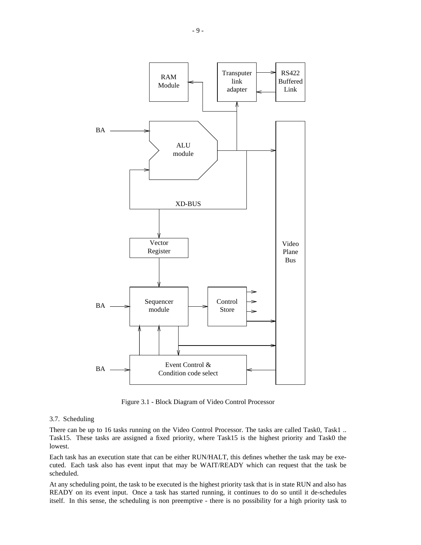

Figure 3.1 - Block Diagram of Video Control Processor

#### 3.7. Scheduling

There can be up to 16 tasks running on the Video Control Processor. The tasks are called Task0, Task1 .. Task15. These tasks are assigned a fixed priority, where Task15 is the highest priority and Task0 the lowest.

Each task has an execution state that can be either RUN/HALT, this defines whether the task may be executed. Each task also has event input that may be WAIT/READY which can request that the task be scheduled.

At any scheduling point, the task to be executed is the highest priority task that is in state RUN and also has READY on its event input. Once a task has started running, it continues to do so until it de-schedules itself. In this sense, the scheduling is non preemptive - there is no possibility for a high priority task to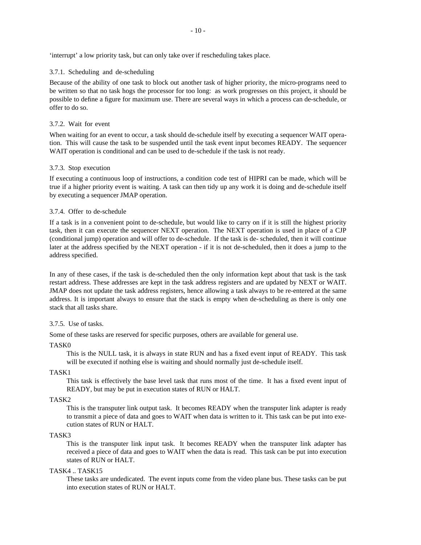'interrupt' a low priority task, but can only take over if rescheduling takes place.

#### 3.7.1. Scheduling and de-scheduling

Because of the ability of one task to block out another task of higher priority, the micro-programs need to be written so that no task hogs the processor for too long: as work progresses on this project, it should be possible to define a figure for maximum use. There are several ways in which a process can de-schedule, or offer to do so.

#### 3.7.2. Wait for event

When waiting for an event to occur, a task should de-schedule itself by executing a sequencer WAIT operation. This will cause the task to be suspended until the task event input becomes READY. The sequencer WAIT operation is conditional and can be used to de-schedule if the task is not ready.

#### 3.7.3. Stop execution

If executing a continuous loop of instructions, a condition code test of HIPRI can be made, which will be true if a higher priority event is waiting. A task can then tidy up any work it is doing and de-schedule itself by executing a sequencer JMAP operation.

#### 3.7.4. Offer to de-schedule

If a task is in a convenient point to de-schedule, but would like to carry on if it is still the highest priority task, then it can execute the sequencer NEXT operation. The NEXT operation is used in place of a CJP (conditional jump) operation and will offer to de-schedule. If the task is de- scheduled, then it will continue later at the address specified by the NEXT operation - if it is not de-scheduled, then it does a jump to the address specified.

In any of these cases, if the task is de-scheduled then the only information kept about that task is the task restart address. These addresses are kept in the task address registers and are updated by NEXT or WAIT. JMAP does not update the task address registers, hence allowing a task always to be re-entered at the same address. It is important always to ensure that the stack is empty when de-scheduling as there is only one stack that all tasks share.

#### 3.7.5. Use of tasks.

Some of these tasks are reserved for specific purposes, others are available for general use.

#### TASK0

This is the NULL task, it is always in state RUN and has a fixed event input of READY. This task will be executed if nothing else is waiting and should normally just de-schedule itself.

#### TASK1

This task is effectively the base level task that runs most of the time. It has a fixed event input of READY, but may be put in execution states of RUN or HALT.

#### TASK2

This is the transputer link output task. It becomes READY when the transputer link adapter is ready to transmit a piece of data and goes to WAIT when data is written to it. This task can be put into execution states of RUN or HALT.

#### TASK3

This is the transputer link input task. It becomes READY when the transputer link adapter has received a piece of data and goes to WAIT when the data is read. This task can be put into execution states of RUN or HALT.

#### TASK4 .. TASK15

These tasks are undedicated. The event inputs come from the video plane bus. These tasks can be put into execution states of RUN or HALT.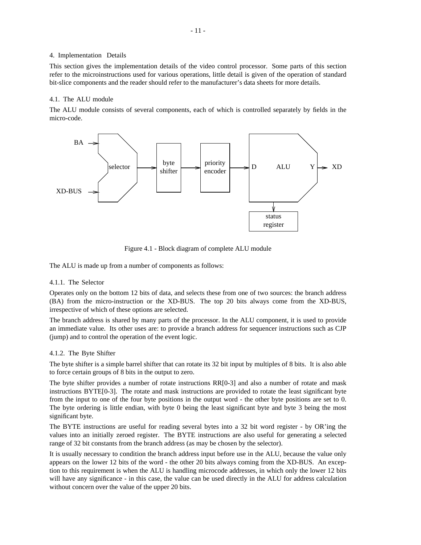#### 4. Implementation Details

This section gives the implementation details of the video control processor. Some parts of this section refer to the microinstructions used for various operations, little detail is given of the operation of standard bit-slice components and the reader should refer to the manufacturer's data sheets for more details.

#### 4.1. The ALU module

The ALU module consists of several components, each of which is controlled separately by fields in the micro-code.



Figure 4.1 - Block diagram of complete ALU module

The ALU is made up from a number of components as follows:

#### 4.1.1. The Selector

Operates only on the bottom 12 bits of data, and selects these from one of two sources: the branch address (BA) from the micro-instruction or the XD-BUS. The top 20 bits always come from the XD-BUS, irrespective of which of these options are selected.

The branch address is shared by many parts of the processor. In the ALU component, it is used to provide an immediate value. Its other uses are: to provide a branch address for sequencer instructions such as CJP (jump) and to control the operation of the event logic.

#### 4.1.2. The Byte Shifter

The byte shifter is a simple barrel shifter that can rotate its 32 bit input by multiples of 8 bits. It is also able to force certain groups of 8 bits in the output to zero.

The byte shifter provides a number of rotate instructions RR[0-3] and also a number of rotate and mask instructions BYTE[0-3]. The rotate and mask instructions are provided to rotate the least significant byte from the input to one of the four byte positions in the output word - the other byte positions are set to 0. The byte ordering is little endian, with byte 0 being the least significant byte and byte 3 being the most significant byte.

The BYTE instructions are useful for reading several bytes into a 32 bit word register - by OR'ing the values into an initially zeroed register. The BYTE instructions are also useful for generating a selected range of 32 bit constants from the branch address (as may be chosen by the selector).

It is usually necessary to condition the branch address input before use in the ALU, because the value only appears on the lower 12 bits of the word - the other 20 bits always coming from the XD-BUS. An exception to this requirement is when the ALU is handling microcode addresses, in which only the lower 12 bits will have any significance - in this case, the value can be used directly in the ALU for address calculation without concern over the value of the upper 20 bits.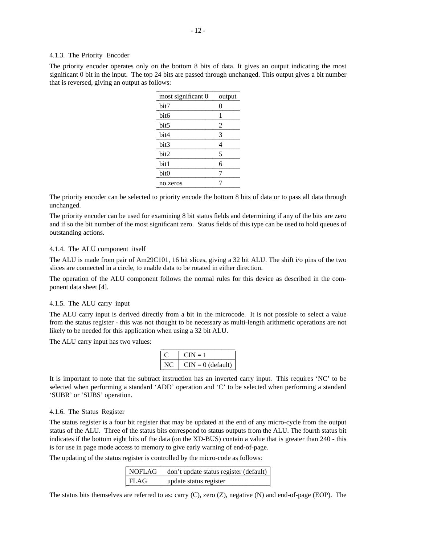#### 4.1.3. The Priority Encoder

The priority encoder operates only on the bottom 8 bits of data. It gives an output indicating the most significant 0 bit in the input. The top 24 bits are passed through unchanged. This output gives a bit number that is reversed, giving an output as follows:

| most significant 0 | output         |
|--------------------|----------------|
| bit7               | 0              |
| bit6               | 1              |
| bit5               | $\overline{2}$ |
| bit4               | 3              |
| bit3               | 4              |
| bit2               | 5              |
| bit1               | 6              |
| bit0               | 7              |
| no zeros           |                |
|                    |                |

The priority encoder can be selected to priority encode the bottom 8 bits of data or to pass all data through unchanged.

The priority encoder can be used for examining 8 bit status fields and determining if any of the bits are zero and if so the bit number of the most significant zero. Status fields of this type can be used to hold queues of outstanding actions.

#### 4.1.4. The ALU component itself

The ALU is made from pair of Am29C101, 16 bit slices, giving a 32 bit ALU. The shift i/o pins of the two slices are connected in a circle, to enable data to be rotated in either direction.

The operation of the ALU component follows the normal rules for this device as described in the component data sheet [4].

#### 4.1.5. The ALU carry input

The ALU carry input is derived directly from a bit in the microcode. It is not possible to select a value from the status register - this was not thought to be necessary as multi-length arithmetic operations are not likely to be needed for this application when using a 32 bit ALU.

The ALU carry input has two values:

|    | $CIN = 1$           |
|----|---------------------|
| NC | $CIN = 0$ (default) |

It is important to note that the subtract instruction has an inverted carry input. This requires 'NC' to be selected when performing a standard 'ADD' operation and 'C' to be selected when performing a standard 'SUBR' or 'SUBS' operation.

#### 4.1.6. The Status Register

The status register is a four bit register that may be updated at the end of any micro-cycle from the output status of the ALU. Three of the status bits correspond to status outputs from the ALU. The fourth status bit indicates if the bottom eight bits of the data (on the XD-BUS) contain a value that is greater than 240 - this is for use in page mode access to memory to give early warning of end-of-page.

The updating of the status register is controlled by the micro-code as follows:

|      | NOFLAG   don't update status register (default) |
|------|-------------------------------------------------|
| FLAG | update status register                          |

The status bits themselves are referred to as: carry (C), zero (Z), negative (N) and end-of-page (EOP). The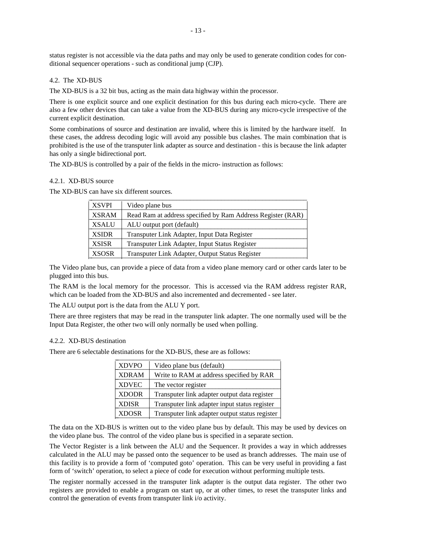status register is not accessible via the data paths and may only be used to generate condition codes for conditional sequencer operations - such as conditional jump (CJP).

#### 4.2. The XD-BUS

The XD-BUS is a 32 bit bus, acting as the main data highway within the processor.

There is one explicit source and one explicit destination for this bus during each micro-cycle. There are also a few other devices that can take a value from the XD-BUS during any micro-cycle irrespective of the current explicit destination.

Some combinations of source and destination are invalid, where this is limited by the hardware itself. In these cases, the address decoding logic will avoid any possible bus clashes. The main combination that is prohibited is the use of the transputer link adapter as source and destination - this is because the link adapter has only a single bidirectional port.

The XD-BUS is controlled by a pair of the fields in the micro- instruction as follows:

#### 4.2.1. XD-BUS source

The XD-BUS can have six different sources.

| <b>XSVPI</b> | Video plane bus                                             |
|--------------|-------------------------------------------------------------|
| <b>XSRAM</b> | Read Ram at address specified by Ram Address Register (RAR) |
| <b>XSALU</b> | ALU output port (default)                                   |
| <b>XSIDR</b> | Transputer Link Adapter, Input Data Register                |
| <b>XSISR</b> | Transputer Link Adapter, Input Status Register              |
| <b>XSOSR</b> | Transputer Link Adapter, Output Status Register             |

The Video plane bus, can provide a piece of data from a video plane memory card or other cards later to be plugged into this bus.

The RAM is the local memory for the processor. This is accessed via the RAM address register RAR, which can be loaded from the XD-BUS and also incremented and decremented - see later.

The ALU output port is the data from the ALU Y port.

There are three registers that may be read in the transputer link adapter. The one normally used will be the Input Data Register, the other two will only normally be used when polling.

#### 4.2.2. XD-BUS destination

There are 6 selectable destinations for the XD-BUS, these are as follows: \_\_\_\_\_\_\_\_\_\_\_\_\_\_\_\_\_\_\_\_\_\_\_\_\_\_\_\_\_\_\_\_\_\_\_\_\_\_\_\_\_\_\_\_\_\_\_\_\_

| <b>XDVPO</b> | Video plane bus (default)                      |
|--------------|------------------------------------------------|
| <b>XDRAM</b> | Write to RAM at address specified by RAR       |
| <b>XDVEC</b> | The vector register                            |
| <b>XDODR</b> | Transputer link adapter output data register   |
| <b>XDISR</b> | Transputer link adapter input status register  |
| <b>XDOSR</b> | Transputer link adapter output status register |

The data on the XD-BUS is written out to the video plane bus by default. This may be used by devices on the video plane bus. The control of the video plane bus is specified in a separate section.

The Vector Register is a link between the ALU and the Sequencer. It provides a way in which addresses calculated in the ALU may be passed onto the sequencer to be used as branch addresses. The main use of this facility is to provide a form of 'computed goto' operation. This can be very useful in providing a fast form of 'switch' operation, to select a piece of code for execution without performing multiple tests.

The register normally accessed in the transputer link adapter is the output data register. The other two registers are provided to enable a program on start up, or at other times, to reset the transputer links and control the generation of events from transputer link i/o activity.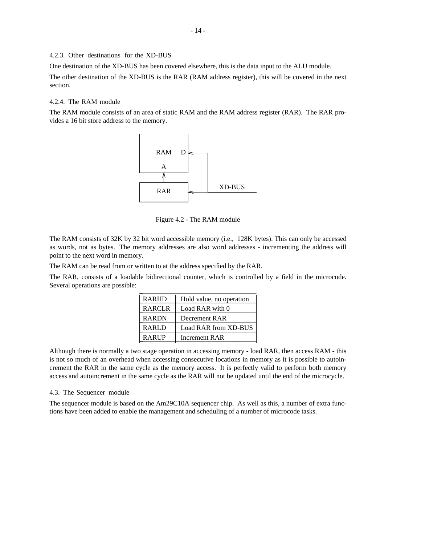#### 4.2.3. Other destinations for the XD-BUS

One destination of the XD-BUS has been covered elsewhere, this is the data input to the ALU module. The other destination of the XD-BUS is the RAR (RAM address register), this will be covered in the next section.

#### 4.2.4. The RAM module

The RAM module consists of an area of static RAM and the RAM address register (RAR). The RAR provides a 16 bit store address to the memory.



Figure 4.2 - The RAM module

The RAM consists of 32K by 32 bit word accessible memory (i.e., 128K bytes). This can only be accessed as words, not as bytes. The memory addresses are also word addresses - incrementing the address will point to the next word in memory.

The RAM can be read from or written to at the address specified by the RAR.

The RAR, consists of a loadable bidirectional counter, which is controlled by a field in the microcode. Several operations are possible: \_\_\_\_\_\_\_\_\_\_\_\_\_\_\_\_\_\_\_\_\_\_\_\_\_\_\_\_\_\_\_\_\_\_

| <b>RARHD</b>  | Hold value, no operation |
|---------------|--------------------------|
| <b>RARCLR</b> | Load RAR with 0          |
| <b>RARDN</b>  | Decrement RAR            |
| <b>RARLD</b>  | Load RAR from XD-BUS     |
| RARUP         | Increment RAR            |

Although there is normally a two stage operation in accessing memory - load RAR, then access RAM - this is not so much of an overhead when accessing consecutive locations in memory as it is possible to autoincrement the RAR in the same cycle as the memory access. It is perfectly valid to perform both memory access and autoincrement in the same cycle as the RAR will not be updated until the end of the microcycle.

#### 4.3. The Sequencer module

The sequencer module is based on the Am29C10A sequencer chip. As well as this, a number of extra functions have been added to enable the management and scheduling of a number of microcode tasks.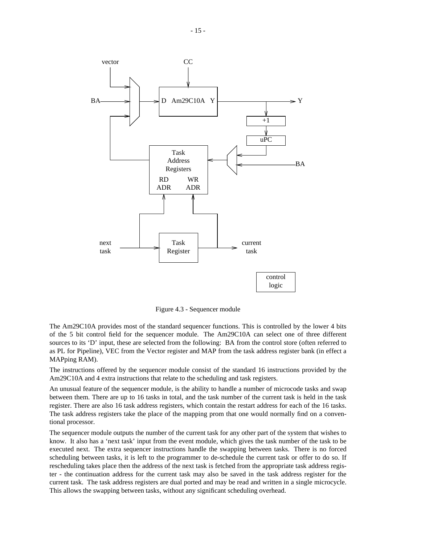

Figure 4.3 - Sequencer module

The Am29C10A provides most of the standard sequencer functions. This is controlled by the lower 4 bits of the 5 bit control field for the sequencer module. The Am29C10A can select one of three different sources to its 'D' input, these are selected from the following: BA from the control store (often referred to as PL for Pipeline), VEC from the Vector register and MAP from the task address register bank (in effect a MAPping RAM).

The instructions offered by the sequencer module consist of the standard 16 instructions provided by the Am29C10A and 4 extra instructions that relate to the scheduling and task registers.

An unusual feature of the sequencer module, is the ability to handle a number of microcode tasks and swap between them. There are up to 16 tasks in total, and the task number of the current task is held in the task register. There are also 16 task address registers, which contain the restart address for each of the 16 tasks. The task address registers take the place of the mapping prom that one would normally find on a conventional processor.

The sequencer module outputs the number of the current task for any other part of the system that wishes to know. It also has a 'next task' input from the event module, which gives the task number of the task to be executed next. The extra sequencer instructions handle the swapping between tasks. There is no forced scheduling between tasks, it is left to the programmer to de-schedule the current task or offer to do so. If rescheduling takes place then the address of the next task is fetched from the appropriate task address register - the continuation address for the current task may also be saved in the task address register for the current task. The task address registers are dual ported and may be read and written in a single microcycle. This allows the swapping between tasks, without any significant scheduling overhead.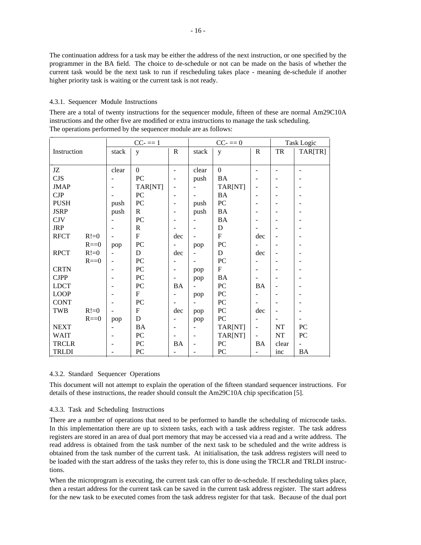The continuation address for a task may be either the address of the next instruction, or one specified by the programmer in the BA field. The choice to de-schedule or not can be made on the basis of whether the current task would be the next task to run if rescheduling takes place - meaning de-schedule if another higher priority task is waiting or the current task is not ready.

#### 4.3.1. Sequencer Module Instructions

There are a total of twenty instructions for the sequencer module, fifteen of these are normal Am29C10A instructions and the other five are modified or extra instructions to manage the task scheduling. The operations performed by the sequencer module are as follows:

|              |          |       | $CC = = 1$       |                          |        | $CC = 0$         |                              |                          | Task Logic       |
|--------------|----------|-------|------------------|--------------------------|--------|------------------|------------------------------|--------------------------|------------------|
| Instruction  |          | stack | y                | $\mathbf R$              | stack  | y                | $\mathbf R$                  | TR                       | TAR[TR]          |
|              |          |       |                  |                          |        |                  |                              |                          |                  |
| JZ           |          | clear | $\overline{0}$   | $\blacksquare$           | clear  | $\mathbf{0}$     | $\overline{\phantom{a}}$     | $\blacksquare$           |                  |
| <b>CJS</b>   |          |       | PC               | $\blacksquare$           | push   | BA               |                              | $\qquad \qquad -$        |                  |
| <b>JMAP</b>  |          |       | TAR[NT]          | $\overline{\phantom{a}}$ |        | TAR[NT]          | $\overline{\phantom{a}}$     | $\overline{a}$           |                  |
| CJP          |          |       | PC               | $\overline{\phantom{a}}$ |        | <b>BA</b>        | $\blacksquare$               | $\qquad \qquad -$        |                  |
| <b>PUSH</b>  |          | push  | PC               | $\overline{\phantom{a}}$ | push   | ${\rm P}{\bf C}$ |                              |                          |                  |
| <b>JSRP</b>  |          | push  | $\mathbf R$      | $\blacksquare$           | push   | <b>BA</b>        | $\overline{\phantom{a}}$     | $\overline{\phantom{a}}$ |                  |
| <b>CJV</b>   |          |       | PC               | $\blacksquare$           |        | <b>BA</b>        | $\overline{\phantom{a}}$     |                          |                  |
| <b>JRP</b>   |          |       | $\mathbf R$      |                          |        | D                |                              |                          |                  |
| <b>RFCT</b>  | $R!=0$   |       | $\mathbf F$      | dec                      |        | $F_{\rm}$        | dec                          | $\overline{\phantom{a}}$ |                  |
|              | $R = 0$  | pop   | PC               | $\overline{\phantom{a}}$ | pop    | PC               | $\blacksquare$               |                          |                  |
| <b>RPCT</b>  | $R!=0$   |       | D                | dec                      |        | D                | dec                          | $\overline{\phantom{a}}$ |                  |
|              | $R == 0$ |       | PC               |                          |        | PC               |                              |                          |                  |
| <b>CRTN</b>  |          |       | PC               | $\blacksquare$           | pop    | $\mathbf{F}$     | ۰                            | $\overline{\phantom{0}}$ |                  |
| <b>CJPP</b>  |          |       | PC               | $\overline{\phantom{a}}$ | pop    | <b>BA</b>        | $\overline{\phantom{a}}$     | $\overline{\phantom{0}}$ |                  |
| <b>LDCT</b>  |          |       | ${\rm P}{\bf C}$ | <b>BA</b>                |        | ${\rm P}{\bf C}$ | <b>BA</b>                    |                          |                  |
| <b>LOOP</b>  |          |       | F                | $\overline{\phantom{a}}$ | pop    | PC               | $\blacksquare$               | $\overline{a}$           |                  |
| <b>CONT</b>  |          |       | ${\rm P}{\bf C}$ | $\blacksquare$           |        | PC               | $\blacksquare$               | $\overline{\phantom{0}}$ |                  |
| TWB          | $R!=0$   |       | ${\bf F}$        | dec                      | pop    | PC               | dec                          | $\overline{\phantom{a}}$ |                  |
|              | $R == 0$ | pop   | D                |                          | pop    | ${\rm P}{\bf C}$ | $\qquad \qquad \blacksquare$ | $\overline{\phantom{a}}$ |                  |
| <b>NEXT</b>  |          |       | <b>BA</b>        | $\overline{\phantom{a}}$ |        | TAR[NT]          | $\overline{\phantom{a}}$     | NT                       | PC               |
| <b>WAIT</b>  |          |       | PC               | $\overline{\phantom{a}}$ |        | TAR[NT]          | $\overline{a}$               | $\rm{NT}$                | ${\rm P}{\bf C}$ |
| <b>TRCLR</b> |          |       | PC               | <b>BA</b>                |        | ${\rm P}{\bf C}$ | <b>BA</b>                    | clear                    |                  |
| <b>TRLDI</b> |          |       | PC               | $\overline{a}$           | $\sim$ | ${\rm P}{\bf C}$ | $\overline{a}$               | inc                      | <b>BA</b>        |

#### 4.3.2. Standard Sequencer Operations

This document will not attempt to explain the operation of the fifteen standard sequencer instructions. For details of these instructions, the reader should consult the Am29C10A chip specification [5].

#### 4.3.3. Task and Scheduling Instructions

There are a number of operations that need to be performed to handle the scheduling of microcode tasks. In this implementation there are up to sixteen tasks, each with a task address register. The task address registers are stored in an area of dual port memory that may be accessed via a read and a write address. The read address is obtained from the task number of the next task to be scheduled and the write address is obtained from the task number of the current task. At initialisation, the task address registers will need to be loaded with the start address of the tasks they refer to, this is done using the TRCLR and TRLDI instructions.

When the microprogram is executing, the current task can offer to de-schedule. If rescheduling takes place, then a restart address for the current task can be saved in the current task address register. The start address for the new task to be executed comes from the task address register for that task. Because of the dual port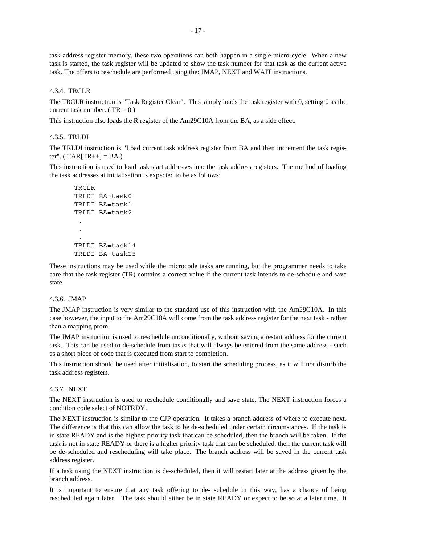task address register memory, these two operations can both happen in a single micro-cycle. When a new task is started, the task register will be updated to show the task number for that task as the current active task. The offers to reschedule are performed using the: JMAP, NEXT and WAIT instructions.

#### 4.3.4. TRCLR

The TRCLR instruction is "Task Register Clear". This simply loads the task register with 0, setting 0 as the current task number. ( $TR = 0$ )

This instruction also loads the R register of the Am29C10A from the BA, as a side effect.

#### 4.3.5. TRLDI

The TRLDI instruction is "Load current task address register from BA and then increment the task register". ( $TAR[TR++] = BA$ )

This instruction is used to load task start addresses into the task address registers. The method of loading the task addresses at initialisation is expected to be as follows:

```
TRCLR
TRLDI BA=task0
TRLDI BA=task1
TRLDI BA=task2
 .
 .
 .
TRLDI BA=task14
TRLDI BA=task15
```
These instructions may be used while the microcode tasks are running, but the programmer needs to take care that the task register (TR) contains a correct value if the current task intends to de-schedule and save state.

#### 4.3.6. JMAP

The JMAP instruction is very similar to the standard use of this instruction with the Am29C10A. In this case however, the input to the Am29C10A will come from the task address register for the next task - rather than a mapping prom.

The JMAP instruction is used to reschedule unconditionally, without saving a restart address for the current task. This can be used to de-schedule from tasks that will always be entered from the same address - such as a short piece of code that is executed from start to completion.

This instruction should be used after initialisation, to start the scheduling process, as it will not disturb the task address registers.

#### 4.3.7. NEXT

The NEXT instruction is used to reschedule conditionally and save state. The NEXT instruction forces a condition code select of NOTRDY.

The NEXT instruction is similar to the CJP operation. It takes a branch address of where to execute next. The difference is that this can allow the task to be de-scheduled under certain circumstances. If the task is in state READY and is the highest priority task that can be scheduled, then the branch will be taken. If the task is not in state READY or there is a higher priority task that can be scheduled, then the current task will be de-scheduled and rescheduling will take place. The branch address will be saved in the current task address register.

If a task using the NEXT instruction is de-scheduled, then it will restart later at the address given by the branch address.

It is important to ensure that any task offering to de- schedule in this way, has a chance of being rescheduled again later. The task should either be in state READY or expect to be so at a later time. It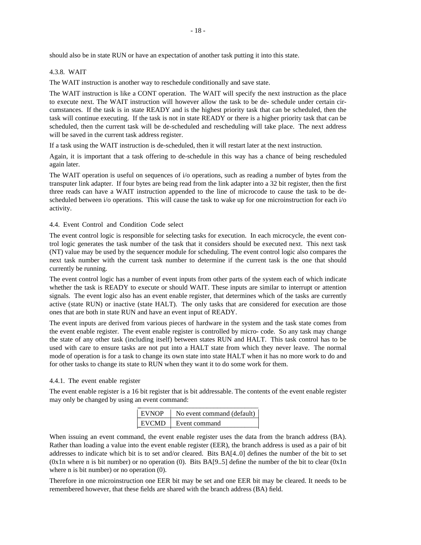#### 4.3.8. WAIT

The WAIT instruction is another way to reschedule conditionally and save state.

The WAIT instruction is like a CONT operation. The WAIT will specify the next instruction as the place to execute next. The WAIT instruction will however allow the task to be de- schedule under certain circumstances. If the task is in state READY and is the highest priority task that can be scheduled, then the task will continue executing. If the task is not in state READY or there is a higher priority task that can be scheduled, then the current task will be de-scheduled and rescheduling will take place. The next address will be saved in the current task address register.

If a task using the WAIT instruction is de-scheduled, then it will restart later at the next instruction.

Again, it is important that a task offering to de-schedule in this way has a chance of being rescheduled again later.

The WAIT operation is useful on sequences of i/o operations, such as reading a number of bytes from the transputer link adapter. If four bytes are being read from the link adapter into a 32 bit register, then the first three reads can have a WAIT instruction appended to the line of microcode to cause the task to be descheduled between i/o operations. This will cause the task to wake up for one microinstruction for each i/o activity.

#### 4.4. Event Control and Condition Code select

The event control logic is responsible for selecting tasks for execution. In each microcycle, the event control logic generates the task number of the task that it considers should be executed next. This next task (NT) value may be used by the sequencer module for scheduling. The event control logic also compares the next task number with the current task number to determine if the current task is the one that should currently be running.

The event control logic has a number of event inputs from other parts of the system each of which indicate whether the task is READY to execute or should WAIT. These inputs are similar to interrupt or attention signals. The event logic also has an event enable register, that determines which of the tasks are currently active (state RUN) or inactive (state HALT). The only tasks that are considered for execution are those ones that are both in state RUN and have an event input of READY.

The event inputs are derived from various pieces of hardware in the system and the task state comes from the event enable register. The event enable register is controlled by micro- code. So any task may change the state of any other task (including itself) between states RUN and HALT. This task control has to be used with care to ensure tasks are not put into a HALT state from which they never leave. The normal mode of operation is for a task to change its own state into state HALT when it has no more work to do and for other tasks to change its state to RUN when they want it to do some work for them.

#### 4.4.1. The event enable register

The event enable register is a 16 bit register that is bit addressable. The contents of the event enable register may only be changed by using an event command: \_\_\_\_\_\_\_\_\_\_\_\_\_\_\_\_\_\_\_\_\_\_\_\_\_\_\_\_\_\_\_\_\_\_\_\_

| <b>EVNOP</b> | No event command (default) $ $ |
|--------------|--------------------------------|
| EVCMD        | Event command                  |

When issuing an event command, the event enable register uses the data from the branch address (BA). Rather than loading a value into the event enable register (EER), the branch address is used as a pair of bit addresses to indicate which bit is to set and/or cleared. Bits BA[4..0] defines the number of the bit to set (0x1n where n is bit number) or no operation (0). Bits  $BA[9..5]$  define the number of the bit to clear (0x1n where n is bit number) or no operation  $(0)$ .

Therefore in one microinstruction one EER bit may be set and one EER bit may be cleared. It needs to be remembered however, that these fields are shared with the branch address (BA) field.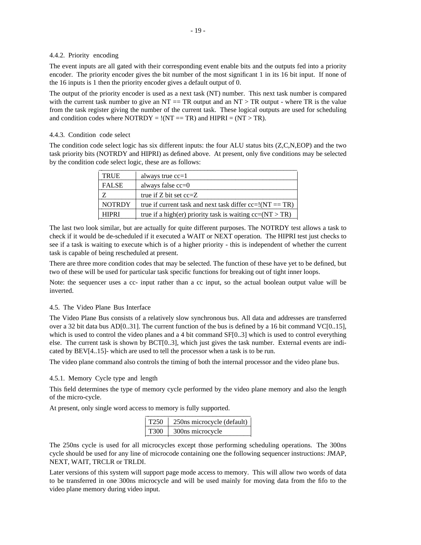#### 4.4.2. Priority encoding

The event inputs are all gated with their corresponding event enable bits and the outputs fed into a priority encoder. The priority encoder gives the bit number of the most significant 1 in its 16 bit input. If none of the 16 inputs is 1 then the priority encoder gives a default output of 0.

The output of the priority encoder is used as a next task (NT) number. This next task number is compared with the current task number to give an  $NT = TR$  output and an  $NT > TR$  output - where  $TR$  is the value from the task register giving the number of the current task. These logical outputs are used for scheduling and condition codes where NOTRDY =  $!(NT == TR)$  and HIPRI =  $(NT > TR)$ .

#### 4.4.3. Condition code select

The condition code select logic has six different inputs: the four ALU status bits (Z,C,N,EOP) and the two task priority bits (NOTRDY and HIPRI) as defined above. At present, only five conditions may be selected by the condition code select logic, these are as follows:

| <b>TRUE</b>   | always true $cc=1$                                           |
|---------------|--------------------------------------------------------------|
| <b>FALSE</b>  | always false $cc=0$                                          |
|               | true if Z bit set $cc = Z$                                   |
| <b>NOTRDY</b> | true if current task and next task differ $cc=!(NT == TR)$   |
| <b>HIPRI</b>  | true if a high(er) priority task is waiting $cc = (NT > TR)$ |

The last two look similar, but are actually for quite different purposes. The NOTRDY test allows a task to check if it would be de-scheduled if it executed a WAIT or NEXT operation. The HIPRI test just checks to see if a task is waiting to execute which is of a higher priority - this is independent of whether the current task is capable of being rescheduled at present.

There are three more condition codes that may be selected. The function of these have yet to be defined, but two of these will be used for particular task specific functions for breaking out of tight inner loops.

Note: the sequencer uses a cc- input rather than a cc input, so the actual boolean output value will be inverted.

#### 4.5. The Video Plane Bus Interface

The Video Plane Bus consists of a relatively slow synchronous bus. All data and addresses are transferred over a 32 bit data bus AD[0..31]. The current function of the bus is defined by a 16 bit command VC[0..15], which is used to control the video planes and a 4 bit command SF[0..3] which is used to control everything else. The current task is shown by BCT[0..3], which just gives the task number. External events are indicated by BEV[4..15]- which are used to tell the processor when a task is to be run.

The video plane command also controls the timing of both the internal processor and the video plane bus.

4.5.1. Memory Cycle type and length

This field determines the type of memory cycle performed by the video plane memory and also the length of the micro-cycle.

At present, only single word access to memory is fully supported.  $\frac{1}{2}$ 

| T <sub>250</sub> | 250 microcycle (default) |
|------------------|--------------------------|
| T300             | 300ns microcycle         |

The 250ns cycle is used for all microcycles except those performing scheduling operations. The 300ns cycle should be used for any line of microcode containing one the following sequencer instructions: JMAP, NEXT, WAIT, TRCLR or TRLDI.

Later versions of this system will support page mode access to memory. This will allow two words of data to be transferred in one 300ns microcycle and will be used mainly for moving data from the fifo to the video plane memory during video input.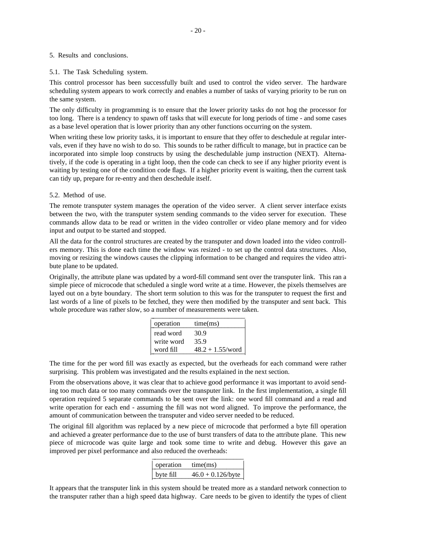#### 5. Results and conclusions.

#### 5.1. The Task Scheduling system.

This control processor has been successfully built and used to control the video server. The hardware scheduling system appears to work correctly and enables a number of tasks of varying priority to be run on the same system.

The only difficulty in programming is to ensure that the lower priority tasks do not hog the processor for too long. There is a tendency to spawn off tasks that will execute for long periods of time - and some cases as a base level operation that is lower priority than any other functions occurring on the system.

When writing these low priority tasks, it is important to ensure that they offer to deschedule at regular intervals, even if they have no wish to do so. This sounds to be rather difficult to manage, but in practice can be incorporated into simple loop constructs by using the deschedulable jump instruction (NEXT). Alternatively, if the code is operating in a tight loop, then the code can check to see if any higher priority event is waiting by testing one of the condition code flags. If a higher priority event is waiting, then the current task can tidy up, prepare for re-entry and then deschedule itself.

#### 5.2. Method of use.

The remote transputer system manages the operation of the video server. A client server interface exists between the two, with the transputer system sending commands to the video server for execution. These commands allow data to be read or written in the video controller or video plane memory and for video input and output to be started and stopped.

All the data for the control structures are created by the transputer and down loaded into the video controllers memory. This is done each time the window was resized - to set up the control data structures. Also, moving or resizing the windows causes the clipping information to be changed and requires the video attribute plane to be updated.

Originally, the attribute plane was updated by a word-fill command sent over the transputer link. This ran a simple piece of microcode that scheduled a single word write at a time. However, the pixels themselves are layed out on a byte boundary. The short term solution to this was for the transputer to request the first and last words of a line of pixels to be fetched, they were then modified by the transputer and sent back. This whole procedure was rather slow, so a number of measurements were taken. \_\_\_\_\_\_\_\_\_\_\_\_\_\_\_\_\_\_\_\_\_\_\_\_\_\_\_\_

| operation  | time(ms)            |
|------------|---------------------|
| read word  | 30.9                |
| write word | 35.9                |
| word fill  | $48.2 + 1.55$ /word |

The time for the per word fill was exactly as expected, but the overheads for each command were rather surprising. This problem was investigated and the results explained in the next section.

From the observations above, it was clear that to achieve good performance it was important to avoid sending too much data or too many commands over the transputer link. In the first implementation, a single fill operation required 5 separate commands to be sent over the link: one word fill command and a read and write operation for each end - assuming the fill was not word aligned. To improve the performance, the amount of communication between the transputer and video server needed to be reduced.

The original fill algorithm was replaced by a new piece of microcode that performed a byte fill operation and achieved a greater performance due to the use of burst transfers of data to the attribute plane. This new piece of microcode was quite large and took some time to write and debug. However this gave an improved per pixel performance and also reduced the overheads: \_\_\_\_\_\_\_\_\_\_\_\_\_\_\_\_\_\_\_\_\_\_\_\_\_\_\_

| operation | time(ms)             |
|-----------|----------------------|
| byte fill | $46.0 + 0.126$ /byte |

It appears that the transputer link in this system should be treated more as a standard network connection to the transputer rather than a high speed data highway. Care needs to be given to identify the types of client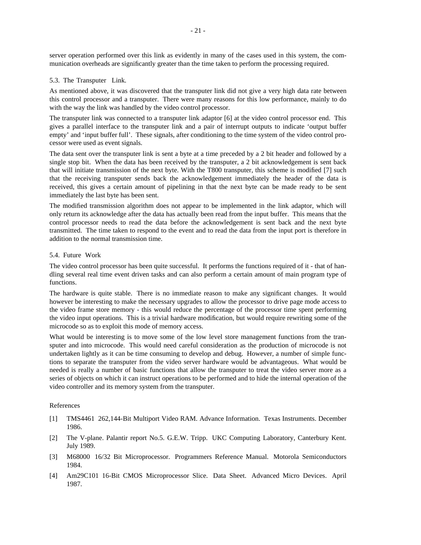server operation performed over this link as evidently in many of the cases used in this system, the communication overheads are significantly greater than the time taken to perform the processing required.

#### 5.3. The Transputer Link.

As mentioned above, it was discovered that the transputer link did not give a very high data rate between this control processor and a transputer. There were many reasons for this low performance, mainly to do with the way the link was handled by the video control processor.

The transputer link was connected to a transputer link adaptor [6] at the video control processor end. This gives a parallel interface to the transputer link and a pair of interrupt outputs to indicate 'output buffer empty' and 'input buffer full'. These signals, after conditioning to the time system of the video control processor were used as event signals.

The data sent over the transputer link is sent a byte at a time preceded by a 2 bit header and followed by a single stop bit. When the data has been received by the transputer, a 2 bit acknowledgement is sent back that will initiate transmission of the next byte. With the T800 transputer, this scheme is modified [7] such that the receiving transputer sends back the acknowledgement immediately the header of the data is received, this gives a certain amount of pipelining in that the next byte can be made ready to be sent immediately the last byte has been sent.

The modified transmission algorithm does not appear to be implemented in the link adaptor, which will only return its acknowledge after the data has actually been read from the input buffer. This means that the control processor needs to read the data before the acknowledgement is sent back and the next byte transmitted. The time taken to respond to the event and to read the data from the input port is therefore in addition to the normal transmission time.

#### 5.4. Future Work

The video control processor has been quite successful. It performs the functions required of it - that of handling several real time event driven tasks and can also perform a certain amount of main program type of functions.

The hardware is quite stable. There is no immediate reason to make any significant changes. It would however be interesting to make the necessary upgrades to allow the processor to drive page mode access to the video frame store memory - this would reduce the percentage of the processor time spent performing the video input operations. This is a trivial hardware modification, but would require rewriting some of the microcode so as to exploit this mode of memory access.

What would be interesting is to move some of the low level store management functions from the transputer and into microcode. This would need careful consideration as the production of microcode is not undertaken lightly as it can be time consuming to develop and debug. However, a number of simple functions to separate the transputer from the video server hardware would be advantageous. What would be needed is really a number of basic functions that allow the transputer to treat the video server more as a series of objects on which it can instruct operations to be performed and to hide the internal operation of the video controller and its memory system from the transputer.

#### References

- [1] TMS4461 262,144-Bit Multiport Video RAM. Advance Information. Texas Instruments. December 1986.
- [2] The V-plane. Palantir report No.5. G.E.W. Tripp. UKC Computing Laboratory, Canterbury Kent. July 1989.
- [3] M68000 16/32 Bit Microprocessor. Programmers Reference Manual. Motorola Semiconductors 1984.
- [4] Am29C101 16-Bit CMOS Microprocessor Slice. Data Sheet. Advanced Micro Devices. April 1987.